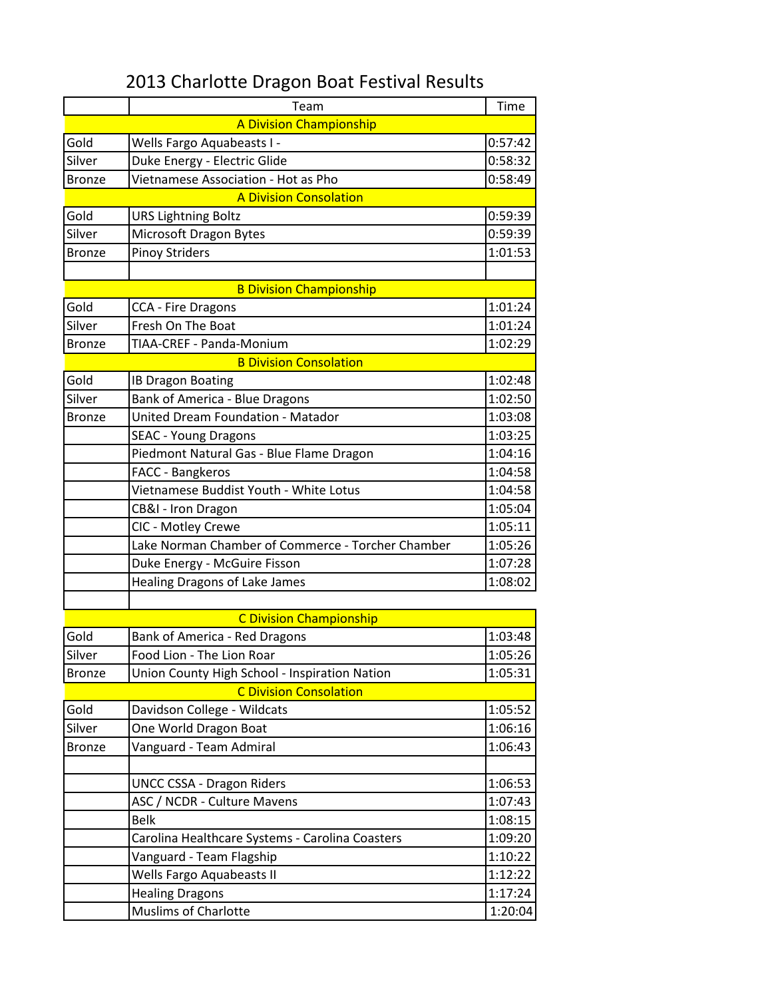## 2013 Charlotte Dragon Boat Festival Results

|               | Team                                              | Time    |
|---------------|---------------------------------------------------|---------|
|               | <b>A Division Championship</b>                    |         |
| Gold          | Wells Fargo Aquabeasts I -                        | 0:57:42 |
| Silver        | Duke Energy - Electric Glide                      | 0:58:32 |
| <b>Bronze</b> | Vietnamese Association - Hot as Pho               | 0:58:49 |
|               | <b>A Division Consolation</b>                     |         |
| Gold          | <b>URS Lightning Boltz</b>                        | 0:59:39 |
| Silver        | Microsoft Dragon Bytes                            | 0:59:39 |
| <b>Bronze</b> | <b>Pinoy Striders</b>                             | 1:01:53 |
|               |                                                   |         |
|               | <b>B Division Championship</b>                    |         |
| Gold          | <b>CCA - Fire Dragons</b>                         | 1:01:24 |
| Silver        | Fresh On The Boat                                 | 1:01:24 |
| <b>Bronze</b> | TIAA-CREF - Panda-Monium                          | 1:02:29 |
|               | <b>B Division Consolation</b>                     |         |
| Gold          | <b>IB Dragon Boating</b>                          | 1:02:48 |
| Silver        | Bank of America - Blue Dragons                    | 1:02:50 |
| <b>Bronze</b> | United Dream Foundation - Matador                 | 1:03:08 |
|               | <b>SEAC - Young Dragons</b>                       | 1:03:25 |
|               | Piedmont Natural Gas - Blue Flame Dragon          | 1:04:16 |
|               | FACC - Bangkeros                                  | 1:04:58 |
|               | Vietnamese Buddist Youth - White Lotus            | 1:04:58 |
|               | CB&I - Iron Dragon                                | 1:05:04 |
|               | CIC - Motley Crewe                                | 1:05:11 |
|               | Lake Norman Chamber of Commerce - Torcher Chamber | 1:05:26 |
|               | Duke Energy - McGuire Fisson                      | 1:07:28 |
|               | Healing Dragons of Lake James                     | 1:08:02 |
|               |                                                   |         |
|               | <b>C Division Championship</b>                    |         |
| Gold          | Bank of America - Red Dragons                     | 1:03:48 |
| Silver        | Food Lion - The Lion Roar                         | 1:05:26 |
| <b>Bronze</b> | Union County High School - Inspiration Nation     | 1:05:31 |
|               | <b>C Division Consolation</b>                     |         |
| Gold          | Davidson College - Wildcats                       | 1:05:52 |
| Silver        | One World Dragon Boat                             | 1:06:16 |
| <b>Bronze</b> | Vanguard - Team Admiral                           | 1:06:43 |
|               |                                                   |         |
|               | <b>UNCC CSSA - Dragon Riders</b>                  | 1:06:53 |
|               | ASC / NCDR - Culture Mavens                       | 1:07:43 |
|               | <b>Belk</b>                                       | 1:08:15 |
|               | Carolina Healthcare Systems - Carolina Coasters   | 1:09:20 |
|               | Vanguard - Team Flagship                          | 1:10:22 |
|               | Wells Fargo Aquabeasts II                         | 1:12:22 |
|               | <b>Healing Dragons</b>                            | 1:17:24 |
|               | Muslims of Charlotte                              | 1:20:04 |